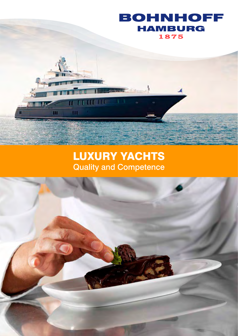

## LUXURY YACHTS Quality and Competence

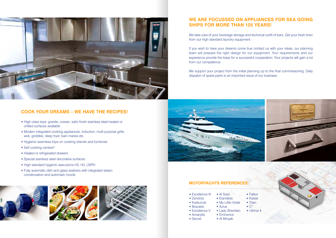## **COOK YOUR DREAMS – WE HAVE THE RECIPES!**

- High class tops: granite, corean, satin finish stainless steel heated or chilled surfaces available
- Modern integrated cooking appliances: induction, multi purpose grills, wok, griddles, deep fryer, bain maries etc.
- Hygienic seamless tops on cooking islands and furnitures
- Self cooking centres<sup>R</sup>
- Heated or refrigerated drawers
- Special stainless steel decorative surfaces
- o High standard hygienic executions H2, H3, USPH
- Fully automatic dish and glass washers with integrated steam condensation and automatic hoods









- 
- 
- 
- 
- 
- -
- 
- 
- 
- 
- 
- 
- 



## **WE ARE FOCUSSED ON APPLIANCES FOR SEA GOING SHIPS FOR MORE THAN 125 YEARS!**

We take care of your beverage storage and technical outfit of bars. Get your fresh linen from our high standard laundry equipment.

If you wish to have your dreams come true contact us with your ideas, our planning team will prepare the right design for our equipment. Your requirements and our experience provide the base for a successful cooperation. Your projects will gain a lot from our competence.

We support your project from the initial planning up to the final commissioning. Daily dispatch of spare-parts is an important issue of our business.